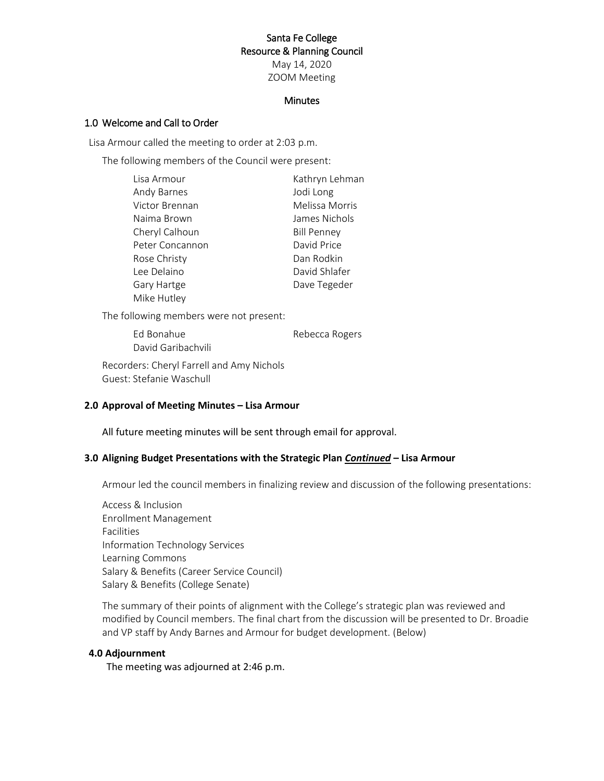## Santa Fe College Resource & Planning Council

May 14, 2020 ZOOM Meeting

#### **Minutes**

## 1.0 Welcome and Call to Order

Lisa Armour called the meeting to order at 2:03 p.m.

The following members of the Council were present:

| Lisa Armour     | Kathryn Lehman     |
|-----------------|--------------------|
| Andy Barnes     | Jodi Long          |
| Victor Brennan  | Melissa Morris     |
| Naima Brown     | James Nichols      |
| Cheryl Calhoun  | <b>Bill Penney</b> |
| Peter Concannon | David Price        |
| Rose Christy    | Dan Rodkin         |
| Lee Delaino     | David Shlafer      |
| Gary Hartge     | Dave Tegeder       |
| Mike Hutley     |                    |

The following members were not present:

Ed Bonahue Rebecca Rogers David Garibachvili

Recorders: Cheryl Farrell and Amy Nichols Guest: Stefanie Waschull

## **2.0 Approval of Meeting Minutes – Lisa Armour**

All future meeting minutes will be sent through email for approval.

## **3.0 Aligning Budget Presentations with the Strategic Plan** *Continued* **– Lisa Armour**

Armour led the council members in finalizing review and discussion of the following presentations:

Access & Inclusion Enrollment Management Facilities Information Technology Services Learning Commons Salary & Benefits (Career Service Council) Salary & Benefits (College Senate)

The summary of their points of alignment with the College's strategic plan was reviewed and modified by Council members. The final chart from the discussion will be presented to Dr. Broadie and VP staff by Andy Barnes and Armour for budget development. (Below)

#### **4.0 Adjournment**

The meeting was adjourned at 2:46 p.m.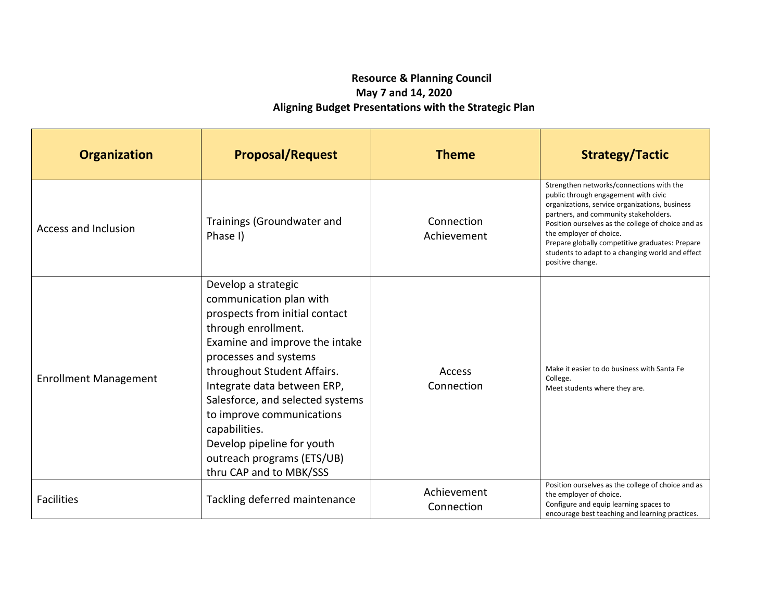# **Resource & Planning Council May 7 and 14, 2020 Aligning Budget Presentations with the Strategic Plan**

| <b>Organization</b>          | <b>Proposal/Request</b>                                                                                                                                                                                                                                                                                                                                                                                   | <b>Theme</b>              | <b>Strategy/Tactic</b>                                                                                                                                                                                                                                                                                                                                                                  |
|------------------------------|-----------------------------------------------------------------------------------------------------------------------------------------------------------------------------------------------------------------------------------------------------------------------------------------------------------------------------------------------------------------------------------------------------------|---------------------------|-----------------------------------------------------------------------------------------------------------------------------------------------------------------------------------------------------------------------------------------------------------------------------------------------------------------------------------------------------------------------------------------|
| Access and Inclusion         | Trainings (Groundwater and<br>Phase I)                                                                                                                                                                                                                                                                                                                                                                    | Connection<br>Achievement | Strengthen networks/connections with the<br>public through engagement with civic<br>organizations, service organizations, business<br>partners, and community stakeholders.<br>Position ourselves as the college of choice and as<br>the employer of choice.<br>Prepare globally competitive graduates: Prepare<br>students to adapt to a changing world and effect<br>positive change. |
| <b>Enrollment Management</b> | Develop a strategic<br>communication plan with<br>prospects from initial contact<br>through enrollment.<br>Examine and improve the intake<br>processes and systems<br>throughout Student Affairs.<br>Integrate data between ERP,<br>Salesforce, and selected systems<br>to improve communications<br>capabilities.<br>Develop pipeline for youth<br>outreach programs (ETS/UB)<br>thru CAP and to MBK/SSS | Access<br>Connection      | Make it easier to do business with Santa Fe<br>College.<br>Meet students where they are.                                                                                                                                                                                                                                                                                                |
| <b>Facilities</b>            | Tackling deferred maintenance                                                                                                                                                                                                                                                                                                                                                                             | Achievement<br>Connection | Position ourselves as the college of choice and as<br>the employer of choice.<br>Configure and equip learning spaces to<br>encourage best teaching and learning practices.                                                                                                                                                                                                              |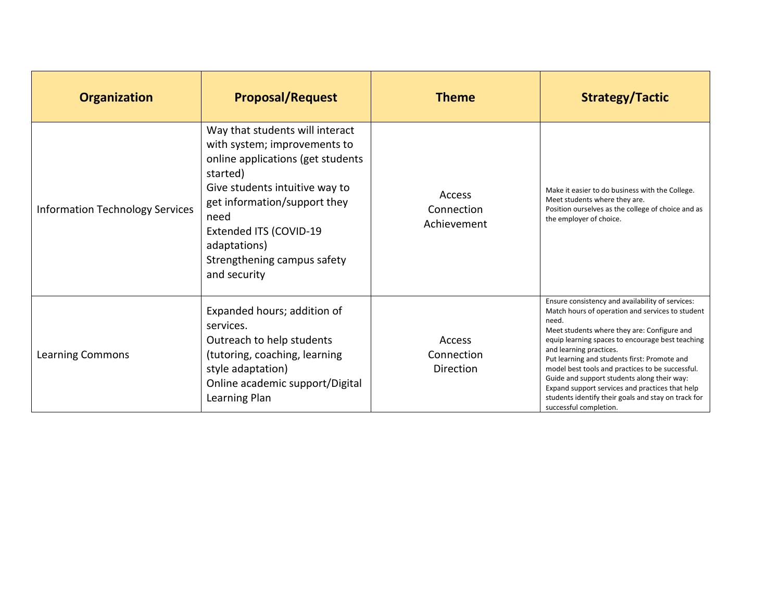| <b>Organization</b>                    | <b>Proposal/Request</b>                                                                                                                                                                                                                                                             | <b>Theme</b>                        | <b>Strategy/Tactic</b>                                                                                                                                                                                                                                                                                                                                                                                                                                                                                                             |
|----------------------------------------|-------------------------------------------------------------------------------------------------------------------------------------------------------------------------------------------------------------------------------------------------------------------------------------|-------------------------------------|------------------------------------------------------------------------------------------------------------------------------------------------------------------------------------------------------------------------------------------------------------------------------------------------------------------------------------------------------------------------------------------------------------------------------------------------------------------------------------------------------------------------------------|
| <b>Information Technology Services</b> | Way that students will interact<br>with system; improvements to<br>online applications (get students<br>started)<br>Give students intuitive way to<br>get information/support they<br>need<br>Extended ITS (COVID-19<br>adaptations)<br>Strengthening campus safety<br>and security | Access<br>Connection<br>Achievement | Make it easier to do business with the College.<br>Meet students where they are.<br>Position ourselves as the college of choice and as<br>the employer of choice.                                                                                                                                                                                                                                                                                                                                                                  |
| <b>Learning Commons</b>                | Expanded hours; addition of<br>services.<br>Outreach to help students<br>(tutoring, coaching, learning<br>style adaptation)<br>Online academic support/Digital<br>Learning Plan                                                                                                     | Access<br>Connection<br>Direction   | Ensure consistency and availability of services:<br>Match hours of operation and services to student<br>need.<br>Meet students where they are: Configure and<br>equip learning spaces to encourage best teaching<br>and learning practices.<br>Put learning and students first: Promote and<br>model best tools and practices to be successful.<br>Guide and support students along their way:<br>Expand support services and practices that help<br>students identify their goals and stay on track for<br>successful completion. |